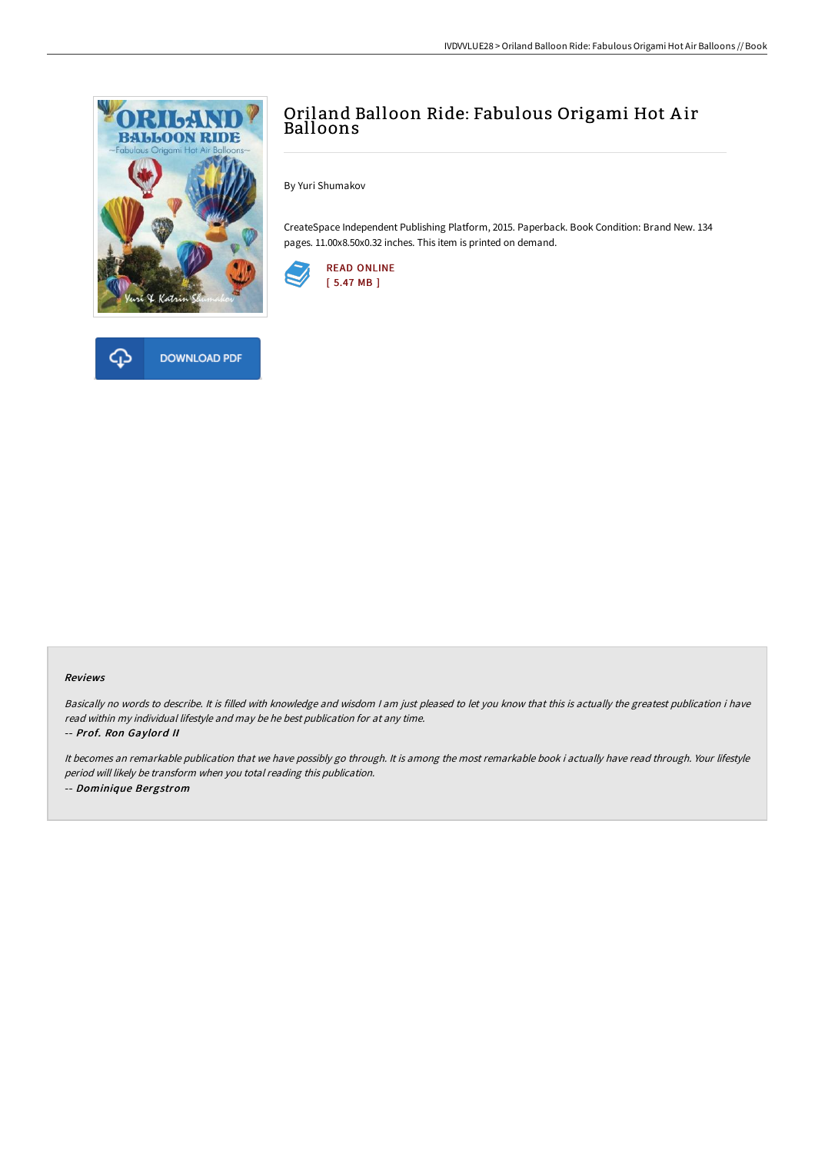



# Oriland Balloon Ride: Fabulous Origami Hot Air Balloons

By Yuri Shumakov

CreateSpace Independent Publishing Platform, 2015. Paperback. Book Condition: Brand New. 134 pages. 11.00x8.50x0.32 inches. This item is printed on demand.



#### Reviews

Basically no words to describe. It is filled with knowledge and wisdom I am just pleased to let you know that this is actually the greatest publication i have read within my individual lifestyle and may be he best publication for at any time.

-- Prof. Ron Gaylord II

It becomes an remarkable publication that we have possibly go through. It is among the most remarkable book i actually have read through. Your lifestyle period will likely be transform when you total reading this publication. -- Dominique Bergstrom